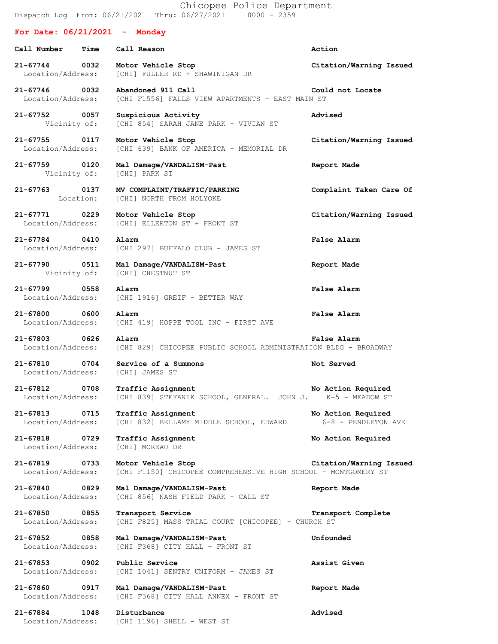Chicopee Police Department Dispatch Log From: 06/21/2021 Thru: 06/27/2021 0000 – 2359

## **For Date: 06/21/2021 - Monday**

| Call Number                        | Time      | Call Reason                                                                              | Action                                    |
|------------------------------------|-----------|------------------------------------------------------------------------------------------|-------------------------------------------|
| 21-67744 0032<br>Location/Address: |           | Motor Vehicle Stop<br>[CHI] FULLER RD + SHAWINIGAN DR                                    | Citation/Warning Issued                   |
| 21-67746 0032<br>Location/Address: |           | Abandoned 911 Call<br>[CHI F1556] FALLS VIEW APARTMENTS - EAST MAIN ST                   | Could not Locate                          |
| 21-67752 0057<br>Vicinity of:      |           | Suspicious Activity<br>[CHI 854] SARAH JANE PARK - VIVIAN ST                             | Advised                                   |
| 21-67755 0117<br>Location/Address: |           | Motor Vehicle Stop<br>[CHI 639] BANK OF AMERICA - MEMORIAL DR                            | Citation/Warning Issued                   |
| 21-67759 0120<br>Vicinity of:      |           | Mal Damage/VANDALISM-Past<br>[CHI] PARK ST                                               | Report Made                               |
| 21-67763 0137                      | Location: | MV COMPLAINT/TRAFFIC/PARKING<br>[CHI] NORTH FROM HOLYOKE                                 | Complaint Taken Care Of                   |
| 21-67771 0229<br>Location/Address: |           | Motor Vehicle Stop<br>[CHI] ELLERTON ST + FRONT ST                                       | Citation/Warning Issued                   |
| 21-67784 0410<br>Location/Address: |           | Alarm<br>[CHI 297] BUFFALO CLUB - JAMES ST                                               | False Alarm                               |
| 21-67790 0511<br>Vicinity of:      |           | Mal Damage/VANDALISM-Past<br>[CHI] CHESTNUT ST                                           | Report Made                               |
| 21-67799 0558<br>Location/Address: |           | Alarm<br>[CHI 1916] GREIF - BETTER WAY                                                   | <b>False Alarm</b>                        |
| $21 - 67800$<br>Location/Address:  | 0600      | Alarm<br>[CHI 419] HOPPE TOOL INC - FIRST AVE                                            | False Alarm                               |
| 21-67803 0626<br>Location/Address: |           | Alarm<br>[CHI 829] CHICOPEE PUBLIC SCHOOL ADMINISTRATION BLDG - BROADWAY                 | False Alarm                               |
| 21-67810<br>Location/Address:      | 0704      | Service of a Summons<br>[CHI] JAMES ST                                                   | Not Served                                |
| 21-67812 0708<br>Location/Address: |           | <b>Traffic Assignment</b><br>[CHI 839] STEFANIK SCHOOL, GENERAL. JOHN J. K-5 - MEADOW ST | No Action Required                        |
| 21-67813<br>Location/Address:      | 0715      | Traffic Assignment<br>[CHI 832] BELLAMY MIDDLE SCHOOL, EDWARD                            | No Action Required<br>6-8 - PENDLETON AVE |
| $21 - 67818$<br>Location/Address:  | 0729      | Traffic Assignment<br>[CHI] MOREAU DR                                                    | No Action Required                        |
| $21 - 67819$<br>Location/Address:  | 0733      | Motor Vehicle Stop<br>[CHI F1150] CHICOPEE COMPREHENSIVE HIGH SCHOOL - MONTGOMERY ST     | Citation/Warning Issued                   |
| 21-67840<br>Location/Address:      | 0829      | Mal Damage/VANDALISM-Past<br>[CHI 856] NASH FIELD PARK - CALL ST                         | Report Made                               |
| 21-67850<br>Location/Address:      | 0855      | Transport Service<br>[CHI F825] MASS TRIAL COURT [CHICOPEE] - CHURCH ST                  | Transport Complete                        |
| $21 - 67852$<br>Location/Address:  | 0858      | Mal Damage/VANDALISM-Past<br>[CHI F368] CITY HALL - FRONT ST                             | Unfounded                                 |
| 21-67853<br>Location/Address:      | 0902      | Public Service<br>[CHI 1041] SENTRY UNIFORM - JAMES ST                                   | Assist Given                              |
| 21-67860<br>Location/Address:      | 0917      | Mal Damage/VANDALISM-Past<br>[CHI F368] CITY HALL ANNEX - FRONT ST                       | Report Made                               |
| 21-67884<br>Location/Address:      | 1048      | Disturbance<br>[CHI 1196] SHELL - WEST ST                                                | Advised                                   |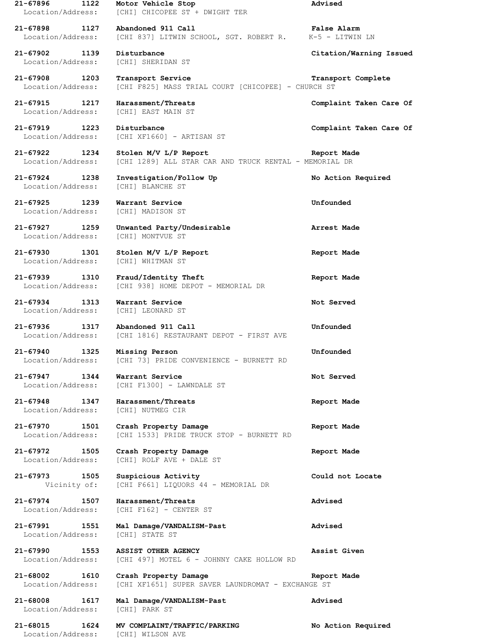**21-67896 1122 Motor Vehicle Stop Advised** Location/Address: [CHI] CHICOPEE ST + DWIGHT TER **21-67898 1127 Abandoned 911 Call False Alarm** Location/Address: [CHI 837] LITWIN SCHOOL, SGT. ROBERT R. K-5 - LITWIN LN **21-67902 1139 Disturbance Citation/Warning Issued** Location/Address: [CHI] SHERIDAN ST **21-67908 1203 Transport Service Transport Complete** Location/Address: [CHI F825] MASS TRIAL COURT [CHICOPEE] - CHURCH ST **21-67915 1217 Harassment/Threats Complaint Taken Care Of** Location/Address: [CHI] EAST MAIN ST **21-67919 1223 Disturbance Complaint Taken Care Of** Location/Address: [CHI XF1660] - ARTISAN ST **21-67922 1234 Stolen M/V L/P Report Report Made** Location/Address: [CHI 1289] ALL STAR CAR AND TRUCK RENTAL - MEMORIAL DR **21-67924 1238 Investigation/Follow Up No Action Required** Location/Address: [CHI] BLANCHE ST **21-67925 1239 Warrant Service Unfounded** Location/Address: [CHI] MADISON ST **21-67927 1259 Unwanted Party/Undesirable Arrest Made** Location/Address: [CHI] MONTVUE ST **21-67930 1301 Stolen M/V L/P Report Report Made** Location/Address: [CHI] WHITMAN ST **21-67939 1310 Fraud/Identity Theft Report Made** Location/Address: [CHI 938] HOME DEPOT - MEMORIAL DR **21-67934 1313 Warrant Service Not Served** Location/Address: [CHI] LEONARD ST **21-67936 1317 Abandoned 911 Call Unfounded** Location/Address: [CHI 1816] RESTAURANT DEPOT - FIRST AVE **21-67940 1325 Missing Person Unfounded** Location/Address: [CHI 73] PRIDE CONVENIENCE - BURNETT RD **21-67947 1344 Warrant Service Not Served** Location/Address: [CHI F1300] - LAWNDALE ST **21-67948 1347 Harassment/Threats Report Made** Location/Address: [CHI] NUTMEG CIR **21-67970 1501 Crash Property Damage Report Made** Location/Address: [CHI 1533] PRIDE TRUCK STOP - BURNETT RD **21-67972 1505 Crash Property Damage Report Made** Location/Address: [CHI] ROLF AVE + DALE ST **21-67973 1505 Suspicious Activity Could not Locate** Vicinity of: [CHI F661] LIQUORS 44 - MEMORIAL DR **21-67974 1507 Harassment/Threats Advised** Location/Address: [CHI F162] - CENTER ST **21-67991 1551 Mal Damage/VANDALISM-Past Advised** Location/Address: [CHI] STATE ST **21-67990 1553 ASSIST OTHER AGENCY Assist Given** Location/Address: [CHI 497] MOTEL 6 - JOHNNY CAKE HOLLOW RD **21-68002 1610 Crash Property Damage Report Made** Location/Address: [CHI XF1651] SUPER SAVER LAUNDROMAT - EXCHANGE ST **21-68008 1617 Mal Damage/VANDALISM-Past Advised** Location/Address: [CHI] PARK ST **21-68015 1624 MV COMPLAINT/TRAFFIC/PARKING No Action Required** Location/Address: [CHI] WILSON AVE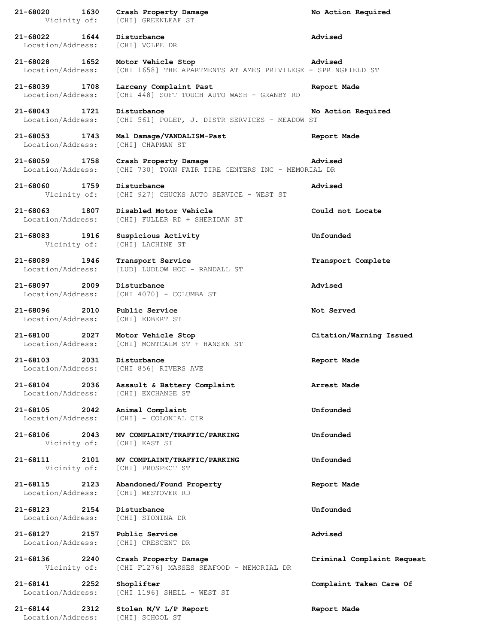| 21-68020<br>Vicinity of:                  | 1630 | Crash Property Damage<br>[CHI] GREENLEAF ST                                        | No Action Required         |
|-------------------------------------------|------|------------------------------------------------------------------------------------|----------------------------|
| 21-68022<br>1644<br>Location/Address:     |      | Disturbance<br>[CHI] VOLPE DR                                                      | Advised                    |
| 21-68028 1652<br>Location/Address:        |      | Motor Vehicle Stop<br>[CHI 1658] THE APARTMENTS AT AMES PRIVILEGE - SPRINGFIELD ST | Advised                    |
| 21-68039 1708<br>Location/Address:        |      | Larceny Complaint Past<br>[CHI 448] SOFT TOUCH AUTO WASH - GRANBY RD               | Report Made                |
| $21 - 68043$<br>1721<br>Location/Address: |      | Disturbance<br>[CHI 561] POLEP, J. DISTR SERVICES - MEADOW ST                      | No Action Required         |
| 21-68053 1743<br>Location/Address:        |      | Mal Damage/VANDALISM-Past<br>[CHI] CHAPMAN ST                                      | Report Made                |
| 21-68059<br>1758<br>Location/Address:     |      | Crash Property Damage<br>[CHI 730] TOWN FAIR TIRE CENTERS INC - MEMORIAL DR        | Advised                    |
| 21-68060<br>1759<br>Vicinity of:          |      | Disturbance<br>[CHI 927] CHUCKS AUTO SERVICE - WEST ST                             | Advised                    |
| $21 - 68063$<br>Location/Address:         | 1807 | Disabled Motor Vehicle<br>[CHI] FULLER RD + SHERIDAN ST                            | Could not Locate           |
| 21-68083 1916<br>Vicinity of:             |      | Suspicious Activity<br>[CHI] LACHINE ST                                            | Unfounded                  |
| 21-68089 1946<br>Location/Address:        |      | Transport Service<br>[LUD] LUDLOW HOC - RANDALL ST                                 | Transport Complete         |
| 2009<br>21-68097<br>Location/Address:     |      | Disturbance<br>[CHI 4070] - COLUMBA ST                                             | Advised                    |
| 21-68096 2010<br>Location/Address:        |      | Public Service<br>[CHI] EDBERT ST                                                  | Not Served                 |
| $21 - 68100$<br>Location/Address:         | 2027 | Motor Vehicle Stop<br>[CHI] MONTCALM ST + HANSEN ST                                | Citation/Warning Issued    |
| $21 - 68103$<br>Location/Address:         | 2031 | Disturbance<br>[CHI 856] RIVERS AVE                                                | Report Made                |
| $21 - 68104$<br>Location/Address:         | 2036 | Assault & Battery Complaint<br>[CHI] EXCHANGE ST                                   | Arrest Made                |
| 21-68105<br>Location/Address:             | 2042 | Animal Complaint<br>[CHI] - COLONIAL CIR                                           | Unfounded                  |
| 21-68106 2043<br>Vicinity of:             |      | MV COMPLAINT/TRAFFIC/PARKING<br>[CHI] EAST ST                                      | Unfounded                  |
| 21-68111<br>Vicinity of:                  | 2101 | MV COMPLAINT/TRAFFIC/PARKING<br>[CHI] PROSPECT ST                                  | Unfounded                  |
| $21 - 68115$<br>Location/Address:         | 2123 | Abandoned/Found Property<br>[CHI] WESTOVER RD                                      | Report Made                |
| 21-68123 2154<br>Location/Address:        |      | Disturbance<br>[CHI] STONINA DR                                                    | Unfounded                  |
| 21-68127<br>2157<br>Location/Address:     |      | Public Service<br>[CHI] CRESCENT DR                                                | Advised                    |
| 21-68136 2240<br>Vicinity of:             |      | Crash Property Damage<br>[CHI F1276] MASSES SEAFOOD - MEMORIAL DR                  | Criminal Complaint Request |
| $21 - 68141$<br>Location/Address:         | 2252 | Shoplifter<br>[CHI 1196] SHELL - WEST ST                                           | Complaint Taken Care Of    |
| 21-68144<br>Location/Address:             | 2312 | Stolen M/V L/P Report<br>[CHI] SCHOOL ST                                           | Report Made                |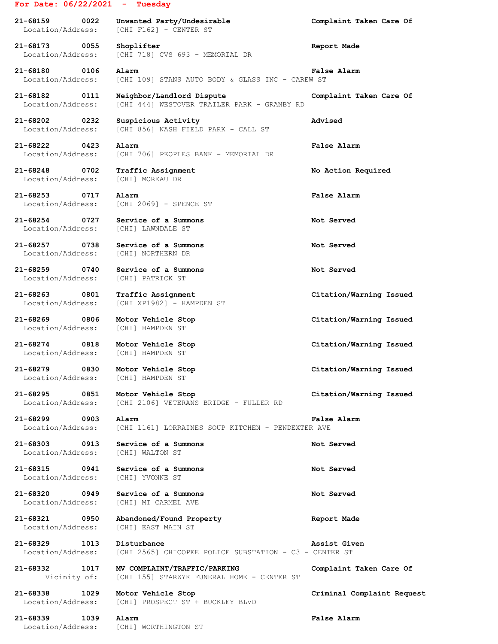## **For Date: 06/22/2021 - Tuesday**

**21-68159 0022 Unwanted Party/Undesirable Complaint Taken Care Of** Location/Address: [CHI F162] - CENTER ST **21-68173 0055 Shoplifter Report Made** Location/Address: [CHI 718] CVS 693 - MEMORIAL DR **21-68180 0106 Alarm False Alarm** Location/Address: [CHI 109] STANS AUTO BODY & GLASS INC - CAREW ST **21-68182 0111 Neighbor/Landlord Dispute Complaint Taken Care Of** Location/Address: [CHI 444] WESTOVER TRAILER PARK - GRANBY RD **21-68202 0232 Suspicious Activity Advised** Location/Address: [CHI 856] NASH FIELD PARK - CALL ST **21-68222 0423 Alarm False Alarm** Location/Address: [CHI 706] PEOPLES BANK - MEMORIAL DR **21-68248 0702 Traffic Assignment No Action Required** Location/Address: [CHI] MOREAU DR **21-68253 0717 Alarm False Alarm** Location/Address: [CHI 2069] - SPENCE ST **21-68254 0727 Service of a Summons Not Served** Location/Address: [CHI] LAWNDALE ST **21-68257 0738 Service of a Summons Not Served** Location/Address: [CHI] NORTHERN DR **21-68259 0740 Service of a Summons Not Served** Location/Address: [CHI] PATRICK ST **21-68263 0801 Traffic Assignment Citation/Warning Issued** Location/Address: [CHI XP1982] - HAMPDEN ST **21-68269 0806 Motor Vehicle Stop Citation/Warning Issued** Location/Address: [CHI] HAMPDEN ST **21-68274 0818 Motor Vehicle Stop Citation/Warning Issued** Location/Address: [CHI] HAMPDEN ST **21-68279 0830 Motor Vehicle Stop Citation/Warning Issued** Location/Address: [CHI] HAMPDEN ST **21-68295 0851 Motor Vehicle Stop Citation/Warning Issued** Location/Address: [CHI 2106] VETERANS BRIDGE - FULLER RD **21-68299 0903 Alarm False Alarm** Location/Address: [CHI 1161] LORRAINES SOUP KITCHEN - PENDEXTER AVE **21-68303 0913 Service of a Summons Not Served** Location/Address: [CHI] WALTON ST **21-68315 0941 Service of a Summons Not Served** Location/Address: [CHI] YVONNE ST **21-68320 0949 Service of a Summons Not Served** Location/Address: [CHI] MT CARMEL AVE **21-68321 0950 Abandoned/Found Property Report Made** Location/Address: [CHI] EAST MAIN ST **21-68329 1013 Disturbance Assist Given** Location/Address: [CHI 2565] CHICOPEE POLICE SUBSTATION - C3 - CENTER ST

**21-68332 1017 MV COMPLAINT/TRAFFIC/PARKING Complaint Taken Care Of** Vicinity of: [CHI 155] STARZYK FUNERAL HOME - CENTER ST

**21-68338 1029 Motor Vehicle Stop Criminal Complaint Request** Location/Address: [CHI] PROSPECT ST + BUCKLEY BLVD

**21-68339 1039 Alarm False Alarm** Location/Address: [CHI] WORTHINGTON ST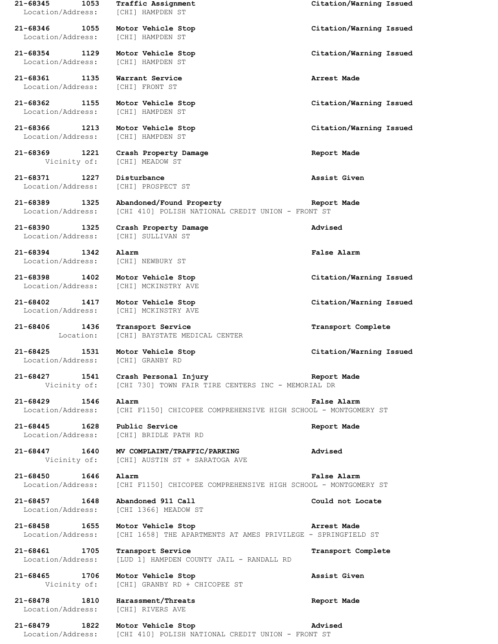**21-68345 1053 Traffic Assignment Citation/Warning Issued** Location/Address: [CHI] HAMPDEN ST **21-68346 1055 Motor Vehicle Stop Citation/Warning Issued** Location/Address: [CHI] HAMPDEN ST **21-68354 1129 Motor Vehicle Stop Citation/Warning Issued** Location/Address: [CHI] HAMPDEN ST **21-68361 1135 Warrant Service Arrest Made** Location/Address: [CHI] FRONT ST **21-68362 1155 Motor Vehicle Stop Citation/Warning Issued** Location/Address: [CHI] HAMPDEN ST **21-68366 1213 Motor Vehicle Stop Citation/Warning Issued** Location/Address: [CHI] HAMPDEN ST **21-68369 1221 Crash Property Damage Report Made** Vicinity of: [CHI] MEADOW ST **21-68371 1227 Disturbance Assist Given** Location/Address: [CHI] PROSPECT ST **21-68389 1325 Abandoned/Found Property Report Made** Location/Address: [CHI 410] POLISH NATIONAL CREDIT UNION - FRONT ST **21-68390 1325 Crash Property Damage Advised** Location/Address: [CHI] SULLIVAN ST **21-68394 1342 Alarm False Alarm** Location/Address: [CHI] NEWBURY ST **21-68398 1402 Motor Vehicle Stop Citation/Warning Issued** Location/Address: [CHI] MCKINSTRY AVE **21-68402 1417 Motor Vehicle Stop Citation/Warning Issued** Location/Address: [CHI] MCKINSTRY AVE **21-68406 1436 Transport Service Transport Complete** Location: [CHI] BAYSTATE MEDICAL CENTER **21-68425 1531 Motor Vehicle Stop Citation/Warning Issued** Location/Address: [CHI] GRANBY RD **21-68427 1541 Crash Personal Injury Report Made** [CHI 730] TOWN FAIR TIRE CENTERS INC - MEMORIAL DR **21-68429 1546 Alarm False Alarm** Location/Address: [CHI F1150] CHICOPEE COMPREHENSIVE HIGH SCHOOL - MONTGOMERY ST **21-68445 1628 Public Service Report Made** Location/Address: [CHI] BRIDLE PATH RD **21-68447 1640 MV COMPLAINT/TRAFFIC/PARKING Advised** Vicinity of: [CHI] AUSTIN ST + SARATOGA AVE **21-68450 1646 Alarm False Alarm** Location/Address: [CHI F1150] CHICOPEE COMPREHENSIVE HIGH SCHOOL - MONTGOMERY ST **21-68457 1648 Abandoned 911 Call Could not Locate** Location/Address: [CHI 1366] MEADOW ST **21-68458 1655 Motor Vehicle Stop Arrest Made** Location/Address: [CHI 1658] THE APARTMENTS AT AMES PRIVILEGE - SPRINGFIELD ST **21-68461 1705 Transport Service Transport Complete** Location/Address: [LUD 1] HAMPDEN COUNTY JAIL - RANDALL RD **21-68465 1706 Motor Vehicle Stop Assist Given** Vicinity of: [CHI] GRANBY RD + CHICOPEE ST **21-68478 1810 Harassment/Threats Report Made** Location/Address: [CHI] RIVERS AVE **21-68479 1822 Motor Vehicle Stop Advised**

Location/Address: [CHI 410] POLISH NATIONAL CREDIT UNION - FRONT ST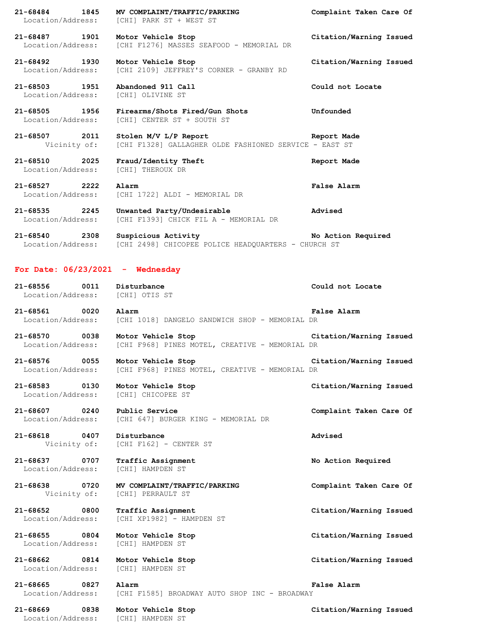**21-68484 1845 MV COMPLAINT/TRAFFIC/PARKING Complaint Taken Care Of** Location/Address: [CHI] PARK ST + WEST ST **21-68487 1901 Motor Vehicle Stop Citation/Warning Issued** Location/Address: [CHI F1276] MASSES SEAFOOD - MEMORIAL DR **21-68492 1930 Motor Vehicle Stop Citation/Warning Issued** Location/Address: [CHI 2109] JEFFREY'S CORNER - GRANBY RD **21-68503 1951 Abandoned 911 Call Could not Locate** Location/Address: [CHI] OLIVINE ST **21-68505 1956 Firearms/Shots Fired/Gun Shots Unfounded** Location/Address: [CHI] CENTER ST + SOUTH ST **21-68507 2011 Stolen M/V L/P Report Report Made** Vicinity of: [CHI F1328] GALLAGHER OLDE FASHIONED SERVICE - EAST ST **21-68510 2025 Fraud/Identity Theft Report Made** Location/Address: [CHI] THEROUX DR **21-68527 2222 Alarm False Alarm** Location/Address: [CHI 1722] ALDI - MEMORIAL DR **21-68535 2245 Unwanted Party/Undesirable Advised** Location/Address: [CHI F1393] CHICK FIL A - MEMORIAL DR **21-68540 2308 Suspicious Activity No Action Required** Location/Address: [CHI 2498] CHICOPEE POLICE HEADQUARTERS - CHURCH ST **For Date: 06/23/2021 - Wednesday 21-68556 0011 Disturbance Could not Locate** Location/Address: [CHI] OTIS ST **21-68561 0020 Alarm False Alarm** Location/Address: [CHI 1018] DANGELO SANDWICH SHOP - MEMORIAL DR **21-68570 0038 Motor Vehicle Stop Citation/Warning Issued** Location/Address: [CHI F968] PINES MOTEL, CREATIVE - MEMORIAL DR **21-68576 0055 Motor Vehicle Stop Citation/Warning Issued** Location/Address: [CHI F968] PINES MOTEL, CREATIVE - MEMORIAL DR **21-68583 0130 Motor Vehicle Stop Citation/Warning Issued** Location/Address: [CHI] CHICOPEE ST **21-68607 0240 Public Service Complaint Taken Care Of** Location/Address: [CHI 647] BURGER KING - MEMORIAL DR **21-68618 0407 Disturbance Advised** Vicinity of: [CHI F162] - CENTER ST **21-68637 0707 Traffic Assignment No Action Required** Location/Address: [CHI] HAMPDEN ST **21-68638 0720 MV COMPLAINT/TRAFFIC/PARKING Complaint Taken Care Of** Vicinity of: [CHI] PERRAULT ST **21-68652 0800 Traffic Assignment Citation/Warning Issued** Location/Address: [CHI XP1982] - HAMPDEN ST **21-68655 0804 Motor Vehicle Stop Citation/Warning Issued** Location/Address: [CHI] HAMPDEN ST **21-68662 0814 Motor Vehicle Stop Citation/Warning Issued** Location/Address: [CHI] HAMPDEN ST **21-68665 0827 Alarm False Alarm** Location/Address: [CHI F1585] BROADWAY AUTO SHOP INC - BROADWAY

**21-68669 0838 Motor Vehicle Stop Citation/Warning Issued** Location/Address: [CHI] HAMPDEN ST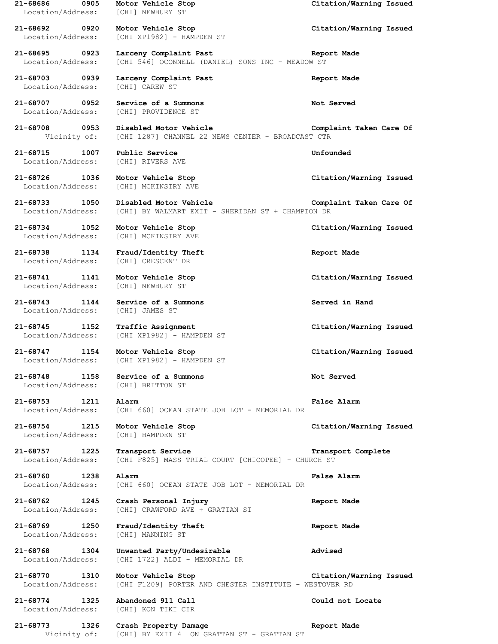**21-68686 0905 Motor Vehicle Stop Citation/Warning Issued** Location/Address: [CHI] NEWBURY ST **21-68692 0920 Motor Vehicle Stop Citation/Warning Issued** Location/Address: [CHI XP1982] - HAMPDEN ST **21-68695 0923 Larceny Complaint Past Report Made** Location/Address: [CHI 546] OCONNELL (DANIEL) SONS INC - MEADOW ST **21-68703 0939 Larceny Complaint Past Report Made** Location/Address: [CHI] CAREW ST **21-68707 0952 Service of a Summons Not Served** Location/Address: [CHI] PROVIDENCE ST **21-68708 0953 Disabled Motor Vehicle Complaint Taken Care Of** Vicinity of: [CHI 1287] CHANNEL 22 NEWS CENTER - BROADCAST CTR **21-68715 1007 Public Service Unfounded** Location/Address: [CHI] RIVERS AVE **21-68726 1036 Motor Vehicle Stop Citation/Warning Issued** Location/Address: [CHI] MCKINSTRY AVE **21-68733 1050 Disabled Motor Vehicle Complaint Taken Care Of** Location/Address: [CHI] BY WALMART EXIT - SHERIDAN ST + CHAMPION DR **21-68734 1052 Motor Vehicle Stop Citation/Warning Issued** Location/Address: [CHI] MCKINSTRY AVE **21-68738 1134 Fraud/Identity Theft Report Made** Location/Address: [CHI] CRESCENT DR **21-68741 1141 Motor Vehicle Stop Citation/Warning Issued** Location/Address: [CHI] NEWBURY ST **21-68743 1144 Service of a Summons Served in Hand** Location/Address: [CHI] JAMES ST **21-68745 1152 Traffic Assignment Citation/Warning Issued** Location/Address: [CHI XP1982] - HAMPDEN ST **21-68747 1154 Motor Vehicle Stop Citation/Warning Issued** Location/Address: [CHI XP1982] - HAMPDEN ST **21-68748 1158 Service of a Summons Not Served** Location/Address: [CHI] BRITTON ST **21-68753 1211 Alarm False Alarm** Location/Address: [CHI 660] OCEAN STATE JOB LOT - MEMORIAL DR **21-68754 1215 Motor Vehicle Stop Citation/Warning Issued** Location/Address: [CHI] HAMPDEN ST **21-68757 1225 Transport Service Transport Complete** Location/Address: [CHI F825] MASS TRIAL COURT [CHICOPEE] - CHURCH ST **21-68760 1238 Alarm False Alarm** Location/Address: [CHI 660] OCEAN STATE JOB LOT - MEMORIAL DR **21-68762 1245 Crash Personal Injury Report Made** Location/Address: [CHI] CRAWFORD AVE + GRATTAN ST **21-68769 1250 Fraud/Identity Theft Report Made** Location/Address: [CHI] MANNING ST **21-68768 1304 Unwanted Party/Undesirable Advised** Location/Address: [CHI 1722] ALDI - MEMORIAL DR **21-68770 1310 Motor Vehicle Stop Citation/Warning Issued** Location/Address: [CHI F1209] PORTER AND CHESTER INSTITUTE - WESTOVER RD **21-68774 1325 Abandoned 911 Call Could not Locate** Location/Address: [CHI] KON TIKI CIR **21-68773 1326 Crash Property Damage Report Made** Vicinity of: [CHI] BY EXIT 4 ON GRATTAN ST - GRATTAN ST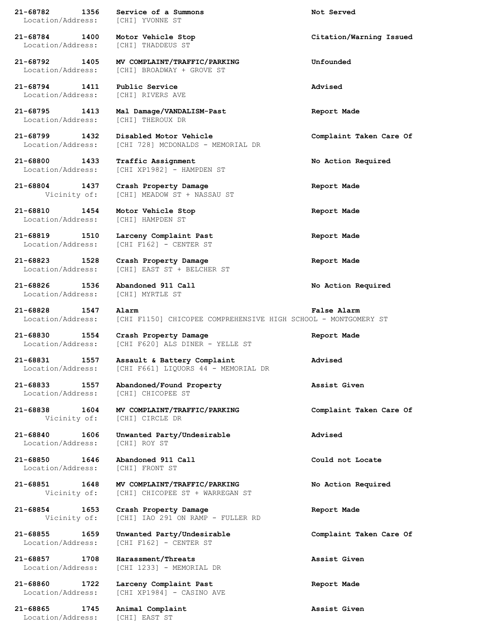Location/Address: [CHI] YVONNE ST **21-68784 1400 Motor Vehicle Stop Citation/Warning Issued** Location/Address: [CHI] THADDEUS ST **21-68792 1405 MV COMPLAINT/TRAFFIC/PARKING Unfounded** Location/Address: [CHI] BROADWAY + GROVE ST **21-68794 1411 Public Service Advised** Location/Address: [CHI] RIVERS AVE **21-68795 1413 Mal Damage/VANDALISM-Past Report Made** Location/Address: [CHI] THEROUX DR **21-68799 1432 Disabled Motor Vehicle Complaint Taken Care Of** [CHI 728] MCDONALDS - MEMORIAL DR **21-68800 1433 Traffic Assignment No Action Required** Location/Address: [CHI XP1982] - HAMPDEN ST **21-68804 1437 Crash Property Damage Report Made** Vicinity of: [CHI] MEADOW ST + NASSAU ST **21-68810 1454 Motor Vehicle Stop Report Made** Location/Address: [CHI] HAMPDEN ST **21-68819 1510 Larceny Complaint Past Report Made** Location/Address: [CHI F162] - CENTER ST **21-68823 1528 Crash Property Damage Report Made** Location/Address: [CHI] EAST ST + BELCHER ST **21-68826 1536 Abandoned 911 Call No Action Required** Location/Address: [CHI] MYRTLE ST **21-68828 1547 Alarm False Alarm** Location/Address: [CHI F1150] CHICOPEE COMPREHENSIVE HIGH SCHOOL - MONTGOMERY ST **21-68830 1554 Crash Property Damage Report Made** Location/Address: [CHI F620] ALS DINER - YELLE ST **21-68831 1557 Assault & Battery Complaint Advised** Location/Address: [CHI F661] LIQUORS 44 - MEMORIAL DR **21-68833 1557 Abandoned/Found Property Assist Given** Location/Address: [CHI] CHICOPEE ST **21-68838 1604 MV COMPLAINT/TRAFFIC/PARKING Complaint Taken Care Of** Vicinity of: [CHI] CIRCLE DR **21-68840 1606 Unwanted Party/Undesirable Advised** Location/Address: [CHI] ROY ST **21-68850 1646 Abandoned 911 Call Could not Locate** Location/Address: [CHI] FRONT ST **21-68851 1648 MV COMPLAINT/TRAFFIC/PARKING No Action Required** Vicinity of: [CHI] CHICOPEE ST + WARREGAN ST **21-68854 1653 Crash Property Damage Report Made** Vicinity of: [CHI] IAO 291 ON RAMP - FULLER RD **21-68855 1659 Unwanted Party/Undesirable Complaint Taken Care Of** Location/Address: [CHI F162] - CENTER ST **21-68857 1708 Harassment/Threats Assist Given** Location/Address: [CHI 1233] - MEMORIAL DR **21-68860 1722 Larceny Complaint Past Report Made** Location/Address: [CHI XP1984] - CASINO AVE **21-68865 1745 Animal Complaint Assist Given**

Location/Address: [CHI] EAST ST

**21-68782 1356 Service of a Summons Not Served**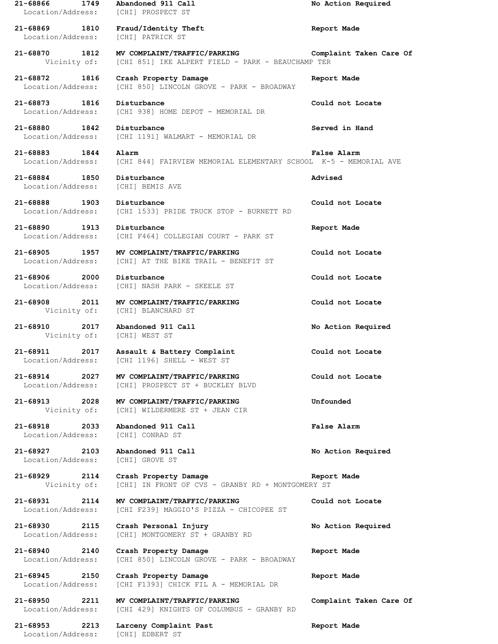| 21-68866<br>1749<br>Location/Address:     | Abandoned 911 Call<br>[CHI] PROSPECT ST                                           | No Action Required      |
|-------------------------------------------|-----------------------------------------------------------------------------------|-------------------------|
| 21-68869 1810<br>Location/Address:        | Fraud/Identity Theft<br>[CHI] PATRICK ST                                          | Report Made             |
| 21-68870<br>1812<br>Vicinity of:          | MV COMPLAINT/TRAFFIC/PARKING<br>[CHI 851] IKE ALPERT FIELD - PARK - BEAUCHAMP TER | Complaint Taken Care Of |
| 21-68872<br>1816<br>Location/Address:     | Crash Property Damage<br>[CHI 850] LINCOLN GROVE - PARK - BROADWAY                | Report Made             |
| 21-68873 1816<br>Location/Address:        | Disturbance<br>[CHI 938] HOME DEPOT - MEMORIAL DR                                 | Could not Locate        |
| 21-68880<br>1842<br>Location/Address:     | Disturbance<br>[CHI 1191] WALMART - MEMORIAL DR                                   | Served in Hand          |
| 21-68883<br>1844<br>Location/Address:     | Alarm<br>[CHI 844] FAIRVIEW MEMORIAL ELEMENTARY SCHOOL K-5 - MEMORIAL AVE         | <b>False Alarm</b>      |
| 21-68884 1850<br>Location/Address:        | Disturbance<br>[CHI] BEMIS AVE                                                    | Advised                 |
| $21 - 68888$<br>1903<br>Location/Address: | Disturbance<br>[CHI 1533] PRIDE TRUCK STOP - BURNETT RD                           | Could not Locate        |
| 21-68890<br>1913<br>Location/Address:     | Disturbance<br>[CHI F464] COLLEGIAN COURT - PARK ST                               | Report Made             |
| 21-68905<br>1957<br>Location/Address:     | MV COMPLAINT/TRAFFIC/PARKING<br>[CHI] AT THE BIKE TRAIL - BENEFIT ST              | Could not Locate        |
| $21 - 68906$<br>2000<br>Location/Address: | Disturbance<br>[CHI] NASH PARK - SKEELE ST                                        | Could not Locate        |
| 21-68908<br>2011<br>Vicinity of:          | MV COMPLAINT/TRAFFIC/PARKING<br>[CHI] BLANCHARD ST                                | Could not Locate        |
| 21-68910<br>2017<br>Vicinity of:          | Abandoned 911 Call<br>[CHI] WEST ST                                               | No Action Required      |
| 21-68911<br>2017<br>Location/Address:     | Assault & Battery Complaint<br>[CHI 1196] SHELL - WEST ST                         | Could not Locate        |
| 21-68914 2027<br>Location/Address:        | MV COMPLAINT/TRAFFIC/PARKING<br>[CHI] PROSPECT ST + BUCKLEY BLVD                  | Could not Locate        |
| 21-68913 2028<br>Vicinity of:             | MV COMPLAINT/TRAFFIC/PARKING<br>[CHI] WILDERMERE ST + JEAN CIR                    | Unfounded               |
| 21-68918 2033<br>Location/Address:        | Abandoned 911 Call<br>[CHI] CONRAD ST                                             | False Alarm             |
| 21-68927 2103<br>Location/Address:        | Abandoned 911 Call<br>[CHI] GROVE ST                                              | No Action Required      |
| 21-68929 2114<br>Vicinity of:             | Crash Property Damage<br>[CHI] IN FRONT OF CVS - GRANBY RD + MONTGOMERY ST        | Report Made             |
| 21-68931 2114<br>Location/Address:        | MV COMPLAINT/TRAFFIC/PARKING<br>[CHI F239] MAGGIO'S PIZZA - CHICOPEE ST           | Could not Locate        |
| 21-68930 2115<br>Location/Address:        | Crash Personal Injury<br>[CHI] MONTGOMERY ST + GRANBY RD                          | No Action Required      |
| 21-68940 2140<br>Location/Address:        | Crash Property Damage<br>[CHI 850] LINCOLN GROVE - PARK - BROADWAY                | Report Made             |
| 21-68945 2150<br>Location/Address:        | Crash Property Damage<br>[CHI F1393] CHICK FIL A - MEMORIAL DR                    | Report Made             |
| 21-68950 2211<br>Location/Address:        | MV COMPLAINT/TRAFFIC/PARKING<br>[CHI 429] KNIGHTS OF COLUMBUS - GRANBY RD         | Complaint Taken Care Of |
| 21-68953 2213<br>Location/Address:        | Larceny Complaint Past<br>[CHI] EDBERT ST                                         | Report Made             |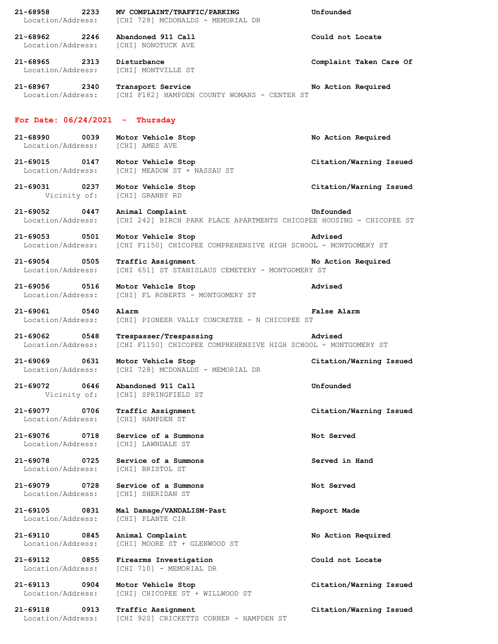| $21 - 68958$<br>2233                      | MV COMPLAINT/TRAFFIC/PARKING                                         | Unfounded               |
|-------------------------------------------|----------------------------------------------------------------------|-------------------------|
| Location/Address:                         | [CHI 728] MCDONALDS - MEMORIAL DR                                    |                         |
| 21-68962 2246                             | Abandoned 911 Call                                                   | Could not Locate        |
| Location/Address:                         | [CHI] NONOTUCK AVE                                                   |                         |
|                                           |                                                                      |                         |
| 21-68965 2313                             | Disturbance                                                          | Complaint Taken Care Of |
| Location/Address:                         | [CHI] MONTVILLE ST                                                   |                         |
|                                           |                                                                      |                         |
| 21-68967<br>2340                          | Transport Service                                                    | No Action Required      |
| Location/Address:                         | [CHI F182] HAMPDEN COUNTY WOMANS - CENTER ST                         |                         |
|                                           |                                                                      |                         |
| For Date: $06/24/2021$ - Thursday         |                                                                      |                         |
|                                           |                                                                      |                         |
| 21-68990<br>0039                          | Motor Vehicle Stop                                                   | No Action Required      |
| Location/Address:                         | [CHI] AMES AVE                                                       |                         |
| 21-69015 0147                             |                                                                      |                         |
| Location/Address:                         | Motor Vehicle Stop<br>[CHI] MEADOW ST + NASSAU ST                    | Citation/Warning Issued |
|                                           |                                                                      |                         |
| 21-69031 0237                             | Motor Vehicle Stop                                                   | Citation/Warning Issued |
| Vicinity of:                              | [CHI] GRANBY RD                                                      |                         |
|                                           |                                                                      |                         |
| $21 - 69052$<br>0447                      | Animal Complaint                                                     | Unfounded               |
| Location/Address:                         | [CHI 242] BIRCH PARK PLACE APARTMENTS CHICOPEE HOUSING - CHICOPEE ST |                         |
| 21-69053 0501                             | Motor Vehicle Stop                                                   | Advised                 |
| Location/Address:                         | [CHI F1150] CHICOPEE COMPREHENSIVE HIGH SCHOOL - MONTGOMERY ST       |                         |
|                                           |                                                                      |                         |
| 21-69054 0505                             | Traffic Assignment                                                   | No Action Required      |
| Location/Address:                         | [CHI 651] ST STANISLAUS CEMETERY - MONTGOMERY ST                     |                         |
|                                           |                                                                      |                         |
| 21-69056 0516                             | Motor Vehicle Stop                                                   | Advised                 |
| Location/Address:                         | [CHI] FL ROBERTS - MONTGOMERY ST                                     |                         |
| 21-69061<br>0540                          | Alarm                                                                | False Alarm             |
| Location/Address:                         | [CHI] PIONEER VALLY CONCRETEE - N CHICOPEE ST                        |                         |
|                                           |                                                                      |                         |
| 21-69062 0548                             | Trespasser/Trespassing                                               | Advised                 |
| Location/Address:                         | [CHI F1150] CHICOPEE COMPREHENSIVE HIGH SCHOOL - MONTGOMERY ST       |                         |
| 21-69069 0631                             | Motor Vehicle Stop                                                   | Citation/Warning Issued |
| Location/Address:                         | [CHI 728] MCDONALDS - MEMORIAL DR                                    |                         |
|                                           |                                                                      |                         |
| 0646<br>21-69072                          | Abandoned 911 Call                                                   | Unfounded               |
| Vicinity of:                              | [CHI] SPRINGFIELD ST                                                 |                         |
|                                           |                                                                      |                         |
| 21-69077<br>0706                          | Traffic Assignment                                                   | Citation/Warning Issued |
| Location/Address:                         | [CHI] HAMPDEN ST                                                     |                         |
| $21 - 69076$<br>0718                      | Service of a Summons                                                 | Not Served              |
| Location/Address:                         | [CHI] LAWNDALE ST                                                    |                         |
|                                           |                                                                      |                         |
| $21 - 69078$<br>0725                      | Service of a Summons                                                 | Served in Hand          |
| Location/Address:                         | [CHI] BRISTOL ST                                                     |                         |
| $21 - 69079$<br>0728                      | Service of a Summons                                                 | Not Served              |
| Location/Address:                         | [CHI] SHERIDAN ST                                                    |                         |
|                                           |                                                                      |                         |
| 21-69105<br>0831                          | Mal Damage/VANDALISM-Past                                            | Report Made             |
| Location/Address:                         | [CHI] PLANTE CIR                                                     |                         |
|                                           |                                                                      |                         |
| $21 - 69110$<br>0845<br>Location/Address: | Animal Complaint                                                     | No Action Required      |
|                                           | [CHI] MOORE ST + GLENWOOD ST                                         |                         |
| 21-69112<br>0855                          | Firearms Investigation                                               | Could not Locate        |
| Location/Address:                         | [CHI 710] - MEMORIAL DR                                              |                         |
|                                           |                                                                      |                         |
| 21-69113<br>$\sim$ 0904                   | Motor Vehicle Stop                                                   | Citation/Warning Issued |
| Location/Address:                         | [CHI] CHICOPEE ST + WILLWOOD ST                                      |                         |
| $21 - 69118$<br>0913                      | Traffic Assignment                                                   | Citation/Warning Issued |
| Location/Address:                         | [CHI 920] CRICKETTS CORNER - HAMPDEN ST                              |                         |
|                                           |                                                                      |                         |
|                                           |                                                                      |                         |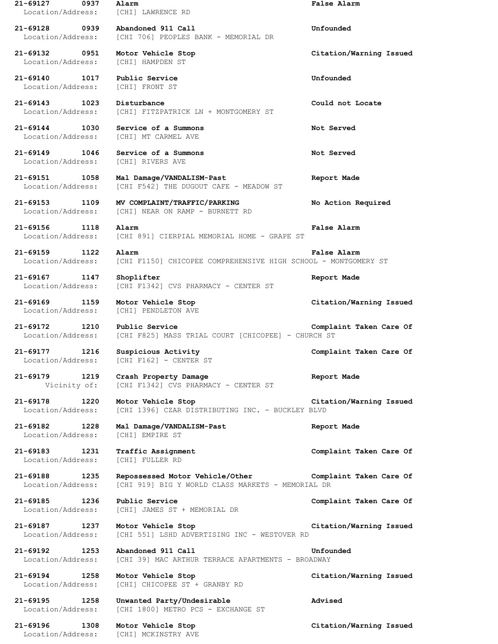**21-69127 0937 Alarm False Alarm** Location/Address: [CHI] LAWRENCE RD **21-69128 0939 Abandoned 911 Call Unfounded** Location/Address: [CHI 706] PEOPLES BANK - MEMORIAL DR **21-69132 0951 Motor Vehicle Stop Citation/Warning Issued** Location/Address: [CHI] HAMPDEN ST **21-69140 1017 Public Service Unfounded** Location/Address: [CHI] FRONT ST **21-69143 1023 Disturbance Could not Locate** Location/Address: [CHI] FITZPATRICK LN + MONTGOMERY ST **21-69144 1030 Service of a Summons Not Served** Location/Address: [CHI] MT CARMEL AVE **21-69149 1046 Service of a Summons Not Served** Location/Address: [CHI] RIVERS AVE **21-69151 1058 Mal Damage/VANDALISM-Past Report Made** Location/Address: [CHI F542] THE DUGOUT CAFE - MEADOW ST **21-69153 1109 MV COMPLAINT/TRAFFIC/PARKING No Action Required** Location/Address: [CHI] NEAR ON RAMP - BURNETT RD **21-69156 1118 Alarm False Alarm** Location/Address: [CHI 891] CIERPIAL MEMORIAL HOME - GRAPE ST **21-69159 1122 Alarm False Alarm** Location/Address: [CHI F1150] CHICOPEE COMPREHENSIVE HIGH SCHOOL - MONTGOMERY ST **21-69167 1147 Shoplifter Report Made** Location/Address: [CHI F1342] CVS PHARMACY - CENTER ST **21-69169 1159 Motor Vehicle Stop Citation/Warning Issued** Location/Address: [CHI] PENDLETON AVE **21-69172 1210 Public Service Complaint Taken Care Of** Location/Address: [CHI F825] MASS TRIAL COURT [CHICOPEE] - CHURCH ST **21-69177 1216 Suspicious Activity Complaint Taken Care Of** Location/Address: [CHI F162] - CENTER ST **21-69179 1219 Crash Property Damage Report Made** Vicinity of: [CHI F1342] CVS PHARMACY - CENTER ST **21-69178 1220 Motor Vehicle Stop Citation/Warning Issued** Location/Address: [CHI 1396] CZAR DISTRIBUTING INC. - BUCKLEY BLVD **21-69182 1228 Mal Damage/VANDALISM-Past Report Made** Location/Address: [CHI] EMPIRE ST **21-69183 1231 Traffic Assignment Complaint Taken Care Of** Location/Address: [CHI] FULLER RD **21-69188 1235 Repossessed Motor Vehicle/Other Complaint Taken Care Of** Location/Address: [CHI 919] BIG Y WORLD CLASS MARKETS - MEMORIAL DR **21-69185 1236 Public Service Complaint Taken Care Of** Location/Address: [CHI] JAMES ST + MEMORIAL DR **21-69187 1237 Motor Vehicle Stop Citation/Warning Issued** Location/Address: [CHI 551] LSHD ADVERTISING INC - WESTOVER RD **21-69192 1253 Abandoned 911 Call Unfounded** Location/Address: [CHI 39] MAC ARTHUR TERRACE APARTMENTS - BROADWAY **21-69194 1258 Motor Vehicle Stop Citation/Warning Issued** Location/Address: [CHI] CHICOPEE ST + GRANBY RD **21-69195 1258 Unwanted Party/Undesirable Advised** Location/Address: [CHI 1800] METRO PCS - EXCHANGE ST **21-69196 1308 Motor Vehicle Stop Citation/Warning Issued** Location/Address: [CHI] MCKINSTRY AVE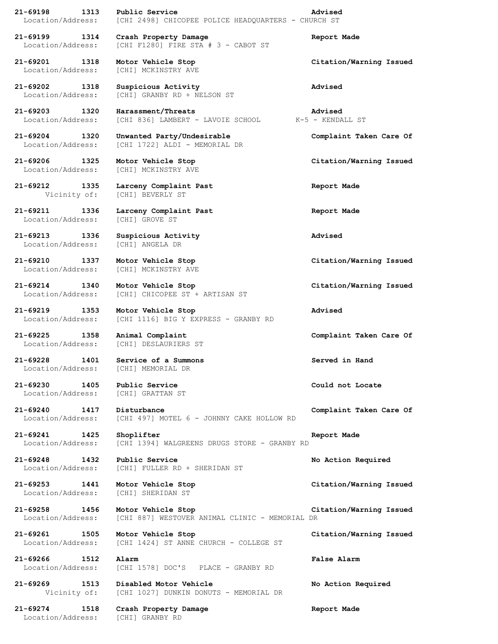**21-69198 1313 Public Service Advised** Location/Address: [CHI 2498] CHICOPEE POLICE HEADQUARTERS - CHURCH ST **21-69199 1314 Crash Property Damage Report Made** Location/Address: [CHI F1280] FIRE STA # 3 - CABOT ST

**21-69201 1318 Motor Vehicle Stop Citation/Warning Issued** Location/Address: [CHI] MCKINSTRY AVE

Location/Address: [CHI] GROVE ST

**21-69213 1336 Suspicious Activity Advised** Location/Address: [CHI] ANGELA DR

**21-69230 1405 Public Service Could not Locate** Location/Address: [CHI] GRATTAN ST

Location/Address: [CHI] SHERIDAN ST

**21-69202 1318 Suspicious Activity Advised** Location/Address: [CHI] GRANBY RD + NELSON ST

**21-69203 1320 Harassment/Threats Advised** Location/Address: [CHI 836] LAMBERT - LAVOIE SCHOOL K-5 - KENDALL ST

**21-69204 1320 Unwanted Party/Undesirable Complaint Taken Care Of** Location/Address: [CHI 1722] ALDI - MEMORIAL DR

Location/Address: [CHI] MCKINSTRY AVE

**21-69212 1335 Larceny Complaint Past Report Made** Vicinity of: [CHI] BEVERLY ST

**21-69211 1336 Larceny Complaint Past Report Made**

Location/Address: [CHI] MCKINSTRY AVE

**21-69214 1340 Motor Vehicle Stop Citation/Warning Issued** Location/Address: [CHI] CHICOPEE ST + ARTISAN ST

**21-69219 1353 Motor Vehicle Stop Advised** Location/Address: [CHI 1116] BIG Y EXPRESS - GRANBY RD

Location/Address: [CHI] DESLAURIERS ST

**21-69228 1401 Service of a Summons Served in Hand** Location/Address: [CHI] MEMORIAL DR

**21-69240 1417 Disturbance Complaint Taken Care Of** Location/Address: [CHI 497] MOTEL 6 - JOHNNY CAKE HOLLOW RD

**21-69241 1425 Shoplifter Report Made** Location/Address: [CHI 1394] WALGREENS DRUGS STORE - GRANBY RD

**21-69248 1432 Public Service No Action Required** Location/Address: [CHI] FULLER RD + SHERIDAN ST

**21-69258 1456 Motor Vehicle Stop Citation/Warning Issued**

Location/Address: [CHI 887] WESTOVER ANIMAL CLINIC - MEMORIAL DR

**21-69261 1505 Motor Vehicle Stop Citation/Warning Issued** Location/Address: [CHI 1424] ST ANNE CHURCH - COLLEGE ST

**21-69266 1512 Alarm False Alarm** Location/Address: [CHI 1578] DOC'S PLACE - GRANBY RD

**21-69269 1513 Disabled Motor Vehicle No Action Required** Vicinity of: [CHI 1027] DUNKIN DONUTS - MEMORIAL DR

**21-69274 1518 Crash Property Damage Report Made** Location/Address: [CHI] GRANBY RD

**21-69206 1325 Motor Vehicle Stop Citation/Warning Issued**

**21-69210 1337 Motor Vehicle Stop Citation/Warning Issued**

**21-69225 1358 Animal Complaint Complaint Taken Care Of**

**21-69253 1441 Motor Vehicle Stop Citation/Warning Issued**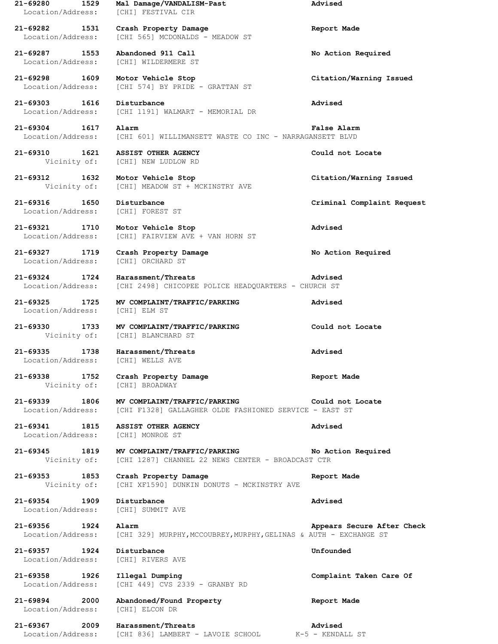**21-69280 1529 Mal Damage/VANDALISM-Past Advised** Location/Address: [CHI] FESTIVAL CIR **21-69282 1531 Crash Property Damage Report Made** Location/Address: [CHI 565] MCDONALDS - MEADOW ST **21-69287 1553 Abandoned 911 Call No Action Required** Location/Address: [CHI] WILDERMERE ST **21-69298 1609 Motor Vehicle Stop Citation/Warning Issued** Location/Address: [CHI 574] BY PRIDE - GRATTAN ST **21-69303 1616 Disturbance Advised** Location/Address: [CHI 1191] WALMART - MEMORIAL DR **21-69304 1617 Alarm False Alarm** Location/Address: [CHI 601] WILLIMANSETT WASTE CO INC - NARRAGANSETT BLVD **21-69310 1621 ASSIST OTHER AGENCY Could not Locate** Vicinity of: [CHI] NEW LUDLOW RD **21-69312 1632 Motor Vehicle Stop Citation/Warning Issued** Vicinity of: [CHI] MEADOW ST + MCKINSTRY AVE **21-69316 1650 Disturbance Criminal Complaint Request** Location/Address: [CHI] FOREST ST **21-69321 1710 Motor Vehicle Stop Advised** Location/Address: [CHI] FAIRVIEW AVE + VAN HORN ST **21-69327 1719 Crash Property Damage No Action Required** Location/Address: [CHI] ORCHARD ST **21-69324 1724 Harassment/Threats Advised** Location/Address: [CHI 2498] CHICOPEE POLICE HEADQUARTERS - CHURCH ST **21-69325 1725 MV COMPLAINT/TRAFFIC/PARKING Advised** Location/Address: [CHI] ELM ST **21-69330 1733 MV COMPLAINT/TRAFFIC/PARKING Could not Locate** Vicinity of: [CHI] BLANCHARD ST **21-69335 1738 Harassment/Threats Advised** Location/Address: [CHI] WELLS AVE **21-69338 1752 Crash Property Damage Report Made** Vicinity of: [CHI] BROADWAY **21-69339 1806 MV COMPLAINT/TRAFFIC/PARKING Could not Locate** Location/Address: [CHI F1328] GALLAGHER OLDE FASHIONED SERVICE - EAST ST **21-69341 1815 ASSIST OTHER AGENCY Advised** Location/Address: [CHI] MONROE ST **21-69345 1819 MV COMPLAINT/TRAFFIC/PARKING No Action Required** Vicinity of: [CHI 1287] CHANNEL 22 NEWS CENTER - BROADCAST CTR **21-69353 1853 Crash Property Damage Report Made** Vicinity of: [CHI XF1590] DUNKIN DONUTS - MCKINSTRY AVE **21-69354 1909 Disturbance Advised** Location/Address: [CHI] SUMMIT AVE **21-69356 1924 Alarm Appears Secure After Check** Location/Address: [CHI 329] MURPHY, MCCOUBREY, MURPHY, GELINAS & AUTH - EXCHANGE ST **21-69357 1924 Disturbance Unfounded** Location/Address: [CHI] RIVERS AVE **21-69358 1926 Illegal Dumping Complaint Taken Care Of** Location/Address: [CHI 449] CVS 2339 - GRANBY RD **21-69894 2000 Abandoned/Found Property Report Made** Location/Address: [CHI] ELCON DR **21-69367 2009 Harassment/Threats Advised** Location/Address: [CHI 836] LAMBERT - LAVOIE SCHOOL K-5 - KENDALL ST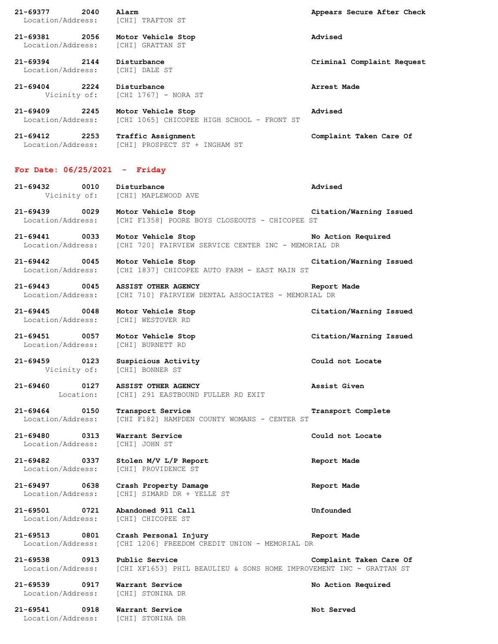**21-69377 2040 Alarm Appears Secure After Check** Location/Address: [CHI] TRAFTON ST **21-69381 2056 Motor Vehicle Stop Advised** Location/Address: [CHI] GRATTAN ST **21-69394 2144 Disturbance Criminal Complaint Request** Location/Address: [CHI] DALE ST **21-69404 2224 Disturbance Arrest Made** Vicinity of: [CHI 1767] - NORA ST **21-69409 2245 Motor Vehicle Stop Advised** Location/Address: [CHI 1065] CHICOPEE HIGH SCHOOL - FRONT ST **21-69412 2253 Traffic Assignment Complaint Taken Care Of** Location/Address: [CHI] PROSPECT ST + INGHAM ST

## **For Date: 06/25/2021 - Friday**

**21-69432 0010 Disturbance Advised** Vicinity of: [CHI] MAPLEWOOD AVE

**21-69439 0029 Motor Vehicle Stop Citation/Warning Issued** Location/Address: [CHI F1358] POORE BOYS CLOSEOUTS - CHICOPEE ST

**21-69441 0033 Motor Vehicle Stop No Action Required** Location/Address: [CHI 720] FAIRVIEW SERVICE CENTER INC - MEMORIAL DR

**21-69442 0045 Motor Vehicle Stop Citation/Warning Issued** Location/Address: [CHI 1837] CHICOPEE AUTO FARM - EAST MAIN ST

**21-69443 0045 ASSIST OTHER AGENCY Report Made** Location/Address: [CHI 710] FAIRVIEW DENTAL ASSOCIATES - MEMORIAL DR

**21-69445 0048 Motor Vehicle Stop Citation/Warning Issued** Location/Address: [CHI] WESTOVER RD

**21-69451 0057 Motor Vehicle Stop Citation/Warning Issued** Location/Address: [CHI] BURNETT RD

**21-69459 0123 Suspicious Activity Could not Locate** Vicinity of: [CHI] BONNER ST

**21-69460 0127 ASSIST OTHER AGENCY Assist Given** Location: [CHI] 291 EASTBOUND FULLER RD EXIT

**21-69464 0150 Transport Service Transport Complete** Location/Address: [CHI F182] HAMPDEN COUNTY WOMANS - CENTER ST

**21-69480 0313 Warrant Service Could not Locate** Location/Address: [CHI] JOHN ST

**21-69482 0337 Stolen M/V L/P Report Report Made** Location/Address: [CHI] PROVIDENCE ST

**21-69497 0638 Crash Property Damage Report Made** Location/Address: [CHI] SIMARD DR + YELLE ST

**21-69501 0721 Abandoned 911 Call Unfounded** Location/Address: [CHI] CHICOPEE ST

**21-69513 0801 Crash Personal Injury Report Made** Location/Address: [CHI 1206] FREEDOM CREDIT UNION - MEMORIAL DR

**21-69538 0913 Public Service Complaint Taken Care Of** Location/Address: [CHI XF1653] PHIL BEAULIEU & SONS HOME IMPROVEMENT INC - GRATTAN ST

**21-69539 0917 Warrant Service No Action Required** Location/Address: [CHI] STONINA DR

**21-69541 0918 Warrant Service Not Served** Location/Address: [CHI] STONINA DR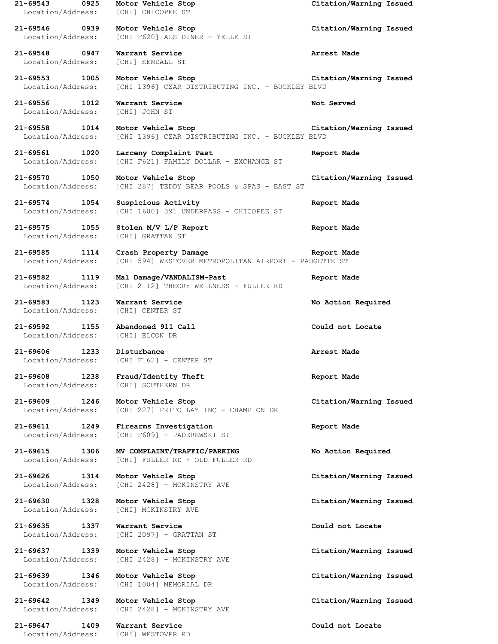**21-69543 0925 Motor Vehicle Stop Citation/Warning Issued** Location/Address: [CHI] CHICOPEE ST **21-69546 0939 Motor Vehicle Stop Citation/Warning Issued** Location/Address: [CHI F620] ALS DINER - YELLE ST **21-69548 0947 Warrant Service Arrest Made** Location/Address: [CHI] KENDALL ST **21-69553 1005 Motor Vehicle Stop Citation/Warning Issued** Location/Address: [CHI 1396] CZAR DISTRIBUTING INC. - BUCKLEY BLVD **21-69556 1012 Warrant Service Not Served** Location/Address: [CHI] JOHN ST **21-69558 1014 Motor Vehicle Stop Citation/Warning Issued** Location/Address: [CHI 1396] CZAR DISTRIBUTING INC. - BUCKLEY BLVD **21-69561 1020 Larceny Complaint Past Report Made** Location/Address: [CHI F621] FAMILY DOLLAR - EXCHANGE ST **21-69570 1050 Motor Vehicle Stop Citation/Warning Issued** Location/Address: [CHI 287] TEDDY BEAR POOLS & SPAS - EAST ST **21-69574 1054 Suspicious Activity Report Made** Location/Address: [CHI 1600] 391 UNDERPASS - CHICOPEE ST **21-69575 1055 Stolen M/V L/P Report Report Made** Location/Address: [CHI] GRATTAN ST **21-69585 1114 Crash Property Damage Report Made** Location/Address: [CHI 594] WESTOVER METROPOLITAN AIRPORT - PADGETTE ST **21-69582 1119 Mal Damage/VANDALISM-Past Report Made** Location/Address: [CHI 2112] THEORY WELLNESS - FULLER RD **21-69583 1123 Warrant Service No Action Required** Location/Address: [CHI] CENTER ST **21-69592 1155 Abandoned 911 Call Could not Locate** Location/Address: **21-69606 1233 Disturbance Arrest Made** Location/Address: [CHI F162] - CENTER ST **21-69608 1238 Fraud/Identity Theft Report Made** Location/Address: [CHI] SOUTHERN DR **21-69609 1246 Motor Vehicle Stop Citation/Warning Issued** Location/Address: [CHI 227] FRITO LAY INC - CHAMPION DR **21-69611 1249 Firearms Investigation Report Made** Location/Address: [CHI F609] - PADEREWSKI ST **21-69615 1306 MV COMPLAINT/TRAFFIC/PARKING No Action Required** Location/Address: [CHI] FULLER RD + OLD FULLER RD **21-69626 1314 Motor Vehicle Stop Citation/Warning Issued** Location/Address: [CHI 2428] - MCKINSTRY AVE **21-69630 1328 Motor Vehicle Stop Citation/Warning Issued** Location/Address: [CHI] MCKINSTRY AVE **21-69635 1337 Warrant Service Could not Locate** Location/Address: [CHI 2097] - GRATTAN ST **21-69637 1339 Motor Vehicle Stop Citation/Warning Issued** Location/Address: [CHI 2428] - MCKINSTRY AVE **21-69639 1346 Motor Vehicle Stop Citation/Warning Issued** Location/Address: [CHI 1004] MEMORIAL DR **21-69642 1349 Motor Vehicle Stop Citation/Warning Issued** Location/Address: [CHI 2428] - MCKINSTRY AVE **21-69647 1409 Warrant Service Could not Locate** Location/Address: [CHI] WESTOVER RD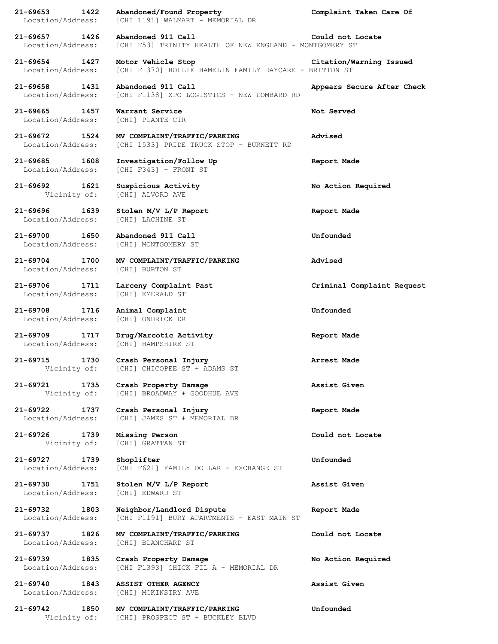**21-69653 1422 Abandoned/Found Property Complaint Taken Care Of** Location/Address: [CHI 1191] WALMART - MEMORIAL DR **21-69657 1426 Abandoned 911 Call Could not Locate** Location/Address: [CHI F53] TRINITY HEALTH OF NEW ENGLAND - MONTGOMERY ST **21-69654 1427 Motor Vehicle Stop Citation/Warning Issued** Location/Address: [CHI F1370] HOLLIE HAMELIN FAMILY DAYCARE - BRITTON ST **21-69658 1431 Abandoned 911 Call Appears Secure After Check** Location/Address: [CHI F1138] XPO LOGISTICS - NEW LOMBARD RD **21-69665 1457 Warrant Service Not Served** Location/Address: [CHI] PLANTE CIR **21-69672 1524 MV COMPLAINT/TRAFFIC/PARKING Advised** Location/Address: [CHI 1533] PRIDE TRUCK STOP - BURNETT RD **21-69685 1608 Investigation/Follow Up Report Made** Location/Address: [CHI F343] - FRONT ST **21-69692 1621 Suspicious Activity No Action Required** Vicinity of: [CHI] ALVORD AVE **21-69696 1639 Stolen M/V L/P Report Report Made** Location/Address: [CHI] LACHINE ST **21-69700 1650 Abandoned 911 Call Unfounded** Location/Address: [CHI] MONTGOMERY ST **21-69704 1700 MV COMPLAINT/TRAFFIC/PARKING Advised** Location/Address: [CHI] BURTON ST **21-69706 1711 Larceny Complaint Past Criminal Complaint Request** Location/Address: [CHI] EMERALD ST **21-69708 1716 Animal Complaint Unfounded** Location/Address: [CHI] ONDRICK DR **21-69709 1717 Drug/Narcotic Activity Report Made** Location/Address: [CHI] HAMPSHIRE ST **21-69715 1730 Crash Personal Injury Arrest Made** Vicinity of: [CHI] CHICOPEE ST + ADAMS ST **21-69721 1735 Crash Property Damage Assist Given** Vicinity of: [CHI] BROADWAY + GOODHUE AVE **21-69722 1737 Crash Personal Injury Report Made** Location/Address: [CHI] JAMES ST + MEMORIAL DR **21-69726 1739 Missing Person Could not Locate** Vicinity of: [CHI] GRATTAN ST **21-69727 1739 Shoplifter Unfounded** Location/Address: [CHI F621] FAMILY DOLLAR - EXCHANGE ST **21-69730 1751 Stolen M/V L/P Report Assist Given** Location/Address: [CHI] EDWARD ST **21-69732 1803 Neighbor/Landlord Dispute Report Made** Location/Address: [CHI F1191] BURY APARTMENTS - EAST MAIN ST **21-69737 1826 MV COMPLAINT/TRAFFIC/PARKING Could not Locate** Location/Address: [CHI] BLANCHARD ST **21-69739 1835 Crash Property Damage No Action Required** Location/Address: [CHI F1393] CHICK FIL A - MEMORIAL DR **21-69740 1843 ASSIST OTHER AGENCY Assist Given** Location/Address: [CHI] MCKINSTRY AVE **21-69742 1850 MV COMPLAINT/TRAFFIC/PARKING Unfounded** Vicinity of: [CHI] PROSPECT ST + BUCKLEY BLVD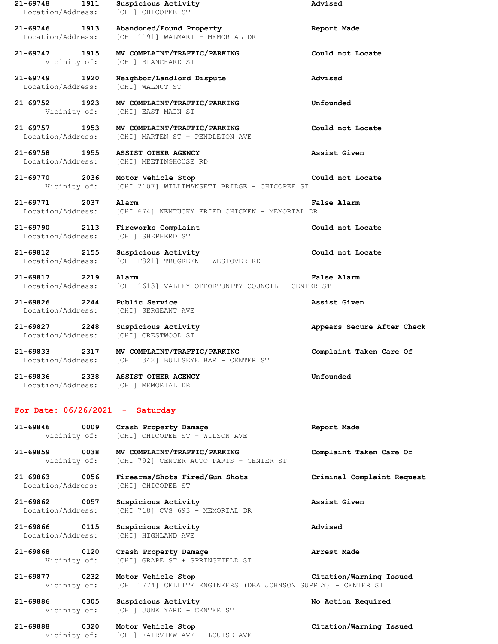| 21-69748<br>1911<br>Location/Address:     | Suspicious Activity<br>[CHI] CHICOPEE ST                                             | Advised                    |
|-------------------------------------------|--------------------------------------------------------------------------------------|----------------------------|
| 21-69746<br>1913<br>Location/Address:     | Abandoned/Found Property<br>[CHI 1191] WALMART - MEMORIAL DR                         | Report Made                |
| 21-69747 1915<br>Vicinity of:             | MV COMPLAINT/TRAFFIC/PARKING<br>[CHI] BLANCHARD ST                                   | Could not Locate           |
| 21-69749<br>1920<br>Location/Address:     | Neighbor/Landlord Dispute<br>[CHI] WALNUT ST                                         | Advised                    |
| 21-69752 1923<br>Vicinity of:             | MV COMPLAINT/TRAFFIC/PARKING<br>[CHI] EAST MAIN ST                                   | Unfounded                  |
| 21-69757<br>1953<br>Location/Address:     | MV COMPLAINT/TRAFFIC/PARKING<br>[CHI] MARTEN ST + PENDLETON AVE                      | Could not Locate           |
| 21-69758<br>1955<br>Location/Address:     | ASSIST OTHER AGENCY<br>[CHI] MEETINGHOUSE RD                                         | Assist Given               |
| 21-69770 2036<br>Vicinity of:             | Motor Vehicle Stop<br>[CHI 2107] WILLIMANSETT BRIDGE - CHICOPEE ST                   | Could not Locate           |
| 21-69771<br>2037<br>Location/Address:     | Alarm<br>[CHI 674] KENTUCKY FRIED CHICKEN - MEMORIAL DR                              | False Alarm                |
| $21 - 69790$<br>2113<br>Location/Address: | Fireworks Complaint<br><b>[CHI] SHEPHERD ST</b>                                      | Could not Locate           |
| 21-69812<br>2155<br>Location/Address:     | Suspicious Activity<br>[CHI F821] TRUGREEN - WESTOVER RD                             | Could not Locate           |
| 21-69817<br>2219<br>Location/Address:     | Alarm<br>[CHI 1613] VALLEY OPPORTUNITY COUNCIL - CENTER ST                           | False Alarm                |
| 21-69826<br>2244<br>Location/Address:     | Public Service<br>[CHI] SERGEANT AVE                                                 | Assist Given               |
| 21-69827 2248<br>Location/Address:        | Suspicious Activity<br>[CHI] CRESTWOOD ST                                            | Appears Secure After Check |
| 21-69833<br>2317<br>Location/Address:     | MV COMPLAINT/TRAFFIC/PARKING<br>[CHI 1342] BULLSEYE BAR - CENTER ST                  | Complaint Taken Care Of    |
| 21-69836 2338<br>Location/Address:        | <b>ASSIST OTHER AGENCY</b><br>[CHI] MEMORIAL DR                                      | Unfounded                  |
|                                           |                                                                                      |                            |
| For Date: $06/26/2021 -$ Saturday         |                                                                                      |                            |
| 21-69846 0009<br>Vicinity of:             | Crash Property Damage<br>[CHI] CHICOPEE ST + WILSON AVE                              | Report Made                |
| 21-69859 0038                             | MV COMPLAINT/TRAFFIC/PARKING<br>Vicinity of: [CHI 792] CENTER AUTO PARTS - CENTER ST | Complaint Taken Care Of    |
| 21-69863 0056<br>Location/Address:        | Firearms/Shots Fired/Gun Shots<br>[CHI] CHICOPEE ST                                  | Criminal Complaint Request |
| 21-69862 0057<br>Location/Address:        | Suspicious Activity<br>[CHI 718] CVS 693 - MEMORIAL DR                               | Assist Given               |
| 21-69866 0115<br>Location/Address:        | Suspicious Activity<br>[CHI] HIGHLAND AVE                                            | Advised                    |
| 21-69868 0120<br>Vicinity of:             | Crash Property Damage<br>[CHI] GRAPE ST + SPRINGFIELD ST                             | Arrest Made                |
| 21-69877 0232<br>Vicinity of:             | Motor Vehicle Stop<br>[CHI 1774] CELLITE ENGINEERS (DBA JOHNSON SUPPLY) - CENTER ST  | Citation/Warning Issued    |
| 21-69886 0305<br>Vicinity of:             | Suspicious Activity<br>[CHI] JUNK YARD - CENTER ST                                   | No Action Required         |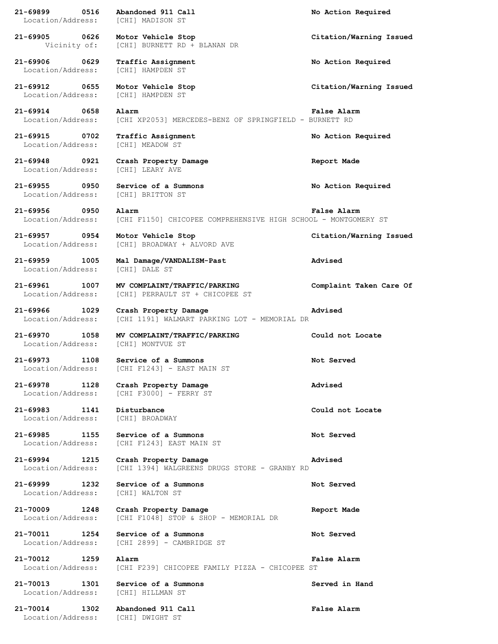**21-69899 0516 Abandoned 911 Call No Action Required** Location/Address: [CHI] MADISON ST **21-69905 0626 Motor Vehicle Stop Citation/Warning Issued** Vicinity of: [CHI] BURNETT RD + BLANAN DR **21-69906 0629 Traffic Assignment No Action Required** Location/Address: [CHI] HAMPDEN ST **21-69912 0655 Motor Vehicle Stop Citation/Warning Issued** Location/Address: [CHI] HAMPDEN ST **21-69914 0658 Alarm False Alarm** Location/Address: [CHI XP2053] MERCEDES-BENZ OF SPRINGFIELD - BURNETT RD **21-69915 0702 Traffic Assignment No Action Required** Location/Address: [CHI] MEADOW ST **21-69948 0921 Crash Property Damage Report Made** Location/Address: [CHI] LEARY AVE **21-69955 0950 Service of a Summons No Action Required** Location/Address: [CHI] BRITTON ST **21-69956 0950 Alarm False Alarm** Location/Address: [CHI F1150] CHICOPEE COMPREHENSIVE HIGH SCHOOL - MONTGOMERY ST **21-69957 0954 Motor Vehicle Stop Citation/Warning Issued** Location/Address: [CHI] BROADWAY + ALVORD AVE **21-69959 1005 Mal Damage/VANDALISM-Past Advised** Location/Address: [CHI] DALE ST **21-69961 1007 MV COMPLAINT/TRAFFIC/PARKING Complaint Taken Care Of** Location/Address: [CHI] PERRAULT ST + CHICOPEE ST **21-69966 1029 Crash Property Damage Advised** Location/Address: [CHI 1191] WALMART PARKING LOT - MEMORIAL DR **21-69970 1058 MV COMPLAINT/TRAFFIC/PARKING Could not Locate** Location/Address: [CHI] MONTVUE ST **21-69973 1108 Service of a Summons Not Served** Location/Address: [CHI F1243] - EAST MAIN ST **21-69978 1128 Crash Property Damage Advised** Location/Address: [CHI F3000] - FERRY ST **21-69983 1141 Disturbance Could not Locate** Location/Address: [CHI] BROADWAY **21-69985 1155 Service of a Summons Not Served** Location/Address: [CHI F1243] EAST MAIN ST **21-69994 1215 Crash Property Damage Advised** Location/Address: [CHI 1394] WALGREENS DRUGS STORE - GRANBY RD **21-69999 1232 Service of a Summons Not Served** Location/Address: [CHI] WALTON ST **21-70009 1248 Crash Property Damage Report Made** Location/Address: [CHI F1048] STOP & SHOP - MEMORIAL DR **21-70011 1254 Service of a Summons Not Served** Location/Address: [CHI 2899] - CAMBRIDGE ST **21-70012 1259 Alarm False Alarm** Location/Address: [CHI F239] CHICOPEE FAMILY PIZZA - CHICOPEE ST **21-70013 1301 Service of a Summons Served in Hand** Location/Address: [CHI] HILLMAN ST **21-70014 1302 Abandoned 911 Call False Alarm** Location/Address: [CHI] DWIGHT ST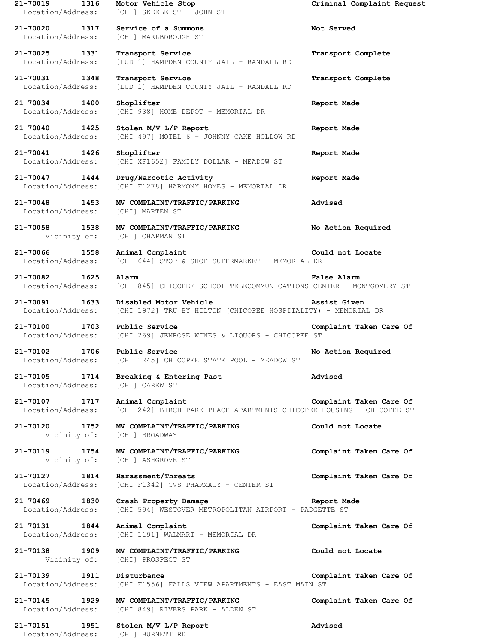**21-70019 1316 Motor Vehicle Stop Criminal Complaint Request** Location/Address: [CHI] SKEELE ST + JOHN ST **21-70020 1317 Service of a Summons Not Served** Location/Address: [CHI] MARLBOROUGH ST **21-70025 1331 Transport Service Transport Complete** Location/Address: [LUD 1] HAMPDEN COUNTY JAIL - RANDALL RD **21-70031 1348 Transport Service Transport Complete** Location/Address: [LUD 1] HAMPDEN COUNTY JAIL - RANDALL RD **21-70034 1400 Shoplifter Report Made** Location/Address: [CHI 938] HOME DEPOT - MEMORIAL DR **21-70040 1425 Stolen M/V L/P Report Report Made** Location/Address: [CHI 497] MOTEL 6 - JOHNNY CAKE HOLLOW RD **21-70041 1426 Shoplifter Report Made** Location/Address: [CHI XF1652] FAMILY DOLLAR - MEADOW ST **21-70047 1444 Drug/Narcotic Activity Report Made** Location/Address: [CHI F1278] HARMONY HOMES - MEMORIAL DR **21-70048 1453 MV COMPLAINT/TRAFFIC/PARKING Advised** Location/Address: [CHI] MARTEN ST **21-70058 1538 MV COMPLAINT/TRAFFIC/PARKING No Action Required** Vicinity of: [CHI] CHAPMAN ST **21-70066 1558 Animal Complaint Could not Locate** Location/Address: [CHI 644] STOP & SHOP SUPERMARKET - MEMORIAL DR **21-70082 1625 Alarm False Alarm** Location/Address: [CHI 845] CHICOPEE SCHOOL TELECOMMUNICATIONS CENTER - MONTGOMERY ST **21-70091 1633 Disabled Motor Vehicle Assist Given** Location/Address: [CHI 1972] TRU BY HILTON (CHICOPEE HOSPITALITY) - MEMORIAL DR **21-70100 1703 Public Service Complaint Taken Care Of** Location/Address: [CHI 269] JENROSE WINES & LIQUORS - CHICOPEE ST **21-70102 1706 Public Service No Action Required** Location/Address: [CHI 1245] CHICOPEE STATE POOL - MEADOW ST **21-70105 1714 Breaking & Entering Past Advised** Location/Address: [CHI] CAREW ST **21-70107 1717 Animal Complaint Complaint Taken Care Of** Location/Address: [CHI 242] BIRCH PARK PLACE APARTMENTS CHICOPEE HOUSING - CHICOPEE ST **21-70120 1752 MV COMPLAINT/TRAFFIC/PARKING Could not Locate** Vicinity of: [CHI] BROADWAY **21-70119 1754 MV COMPLAINT/TRAFFIC/PARKING Complaint Taken Care Of** Vicinity of: [CHI] ASHGROVE ST **21-70127 1814 Harassment/Threats Complaint Taken Care Of** Location/Address: [CHI F1342] CVS PHARMACY - CENTER ST **21-70469 1830 Crash Property Damage Report Made** Location/Address: [CHI 594] WESTOVER METROPOLITAN AIRPORT - PADGETTE ST **21-70131 1844 Animal Complaint Complaint Taken Care Of** Location/Address: [CHI 1191] WALMART - MEMORIAL DR **21-70138 1909 MV COMPLAINT/TRAFFIC/PARKING Could not Locate** Vicinity of: [CHI] PROSPECT ST **21-70139 1911 Disturbance Complaint Taken Care Of** Location/Address: [CHI F1556] FALLS VIEW APARTMENTS - EAST MAIN ST **21-70145 1929 MV COMPLAINT/TRAFFIC/PARKING Complaint Taken Care Of** Location/Address: [CHI 849] RIVERS PARK - ALDEN ST **21-70151 1951 Stolen M/V L/P Report Advised** Location/Address: [CHI] BURNETT RD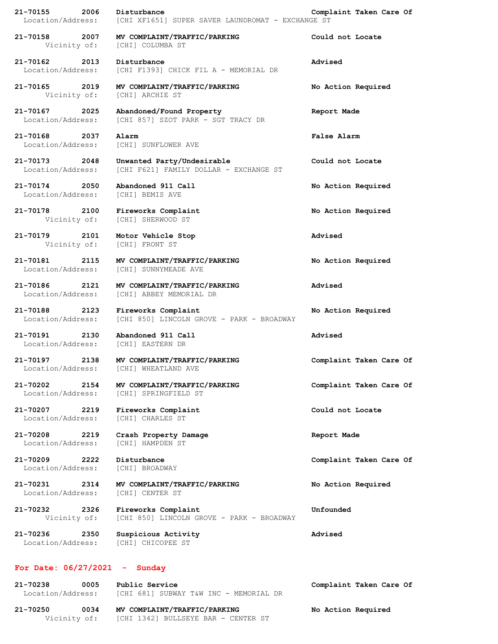| 21-70155<br>2006<br>Location/Address: | Disturbance<br>[CHI XF1651] SUPER SAVER LAUNDROMAT - EXCHANGE ST     | Complaint Taken Care Of |
|---------------------------------------|----------------------------------------------------------------------|-------------------------|
| 21-70158 2007<br>Vicinity of:         | MV COMPLAINT/TRAFFIC/PARKING<br>[CHI] COLUMBA ST                     | Could not Locate        |
| 21-70162<br>2013<br>Location/Address: | Disturbance<br>[CHI F1393] CHICK FIL A - MEMORIAL DR                 | Advised                 |
| 21-70165 2019<br>Vicinity of:         | MV COMPLAINT/TRAFFIC/PARKING<br>[CHI] ARCHIE ST                      | No Action Required      |
| 21-70167<br>2025<br>Location/Address: | Abandoned/Found Property<br>[CHI 857] SZOT PARK - SGT TRACY DR       | Report Made             |
| 21-70168 2037<br>Location/Address:    | Alarm<br>[CHI] SUNFLOWER AVE                                         | False Alarm             |
| 21-70173<br>2048<br>Location/Address: | Unwanted Party/Undesirable<br>[CHI F621] FAMILY DOLLAR - EXCHANGE ST | Could not Locate        |
| 21-70174 2050<br>Location/Address:    | Abandoned 911 Call<br>[CHI] BEMIS AVE                                | No Action Required      |
| 21-70178 2100<br>Vicinity of:         | Fireworks Complaint<br>[CHI] SHERWOOD ST                             | No Action Required      |
| 21-70179<br>2101<br>Vicinity of:      | Motor Vehicle Stop<br>[CHI] FRONT ST                                 | Advised                 |
| 21-70181<br>2115<br>Location/Address: | MV COMPLAINT/TRAFFIC/PARKING<br>[CHI] SUNNYMEADE AVE                 | No Action Required      |
| 21-70186<br>2121<br>Location/Address: | MV COMPLAINT/TRAFFIC/PARKING<br>[CHI] ABBEY MEMORIAL DR              | Advised                 |
| 21-70188 2123<br>Location/Address:    | Fireworks Complaint<br>[CHI 850] LINCOLN GROVE - PARK - BROADWAY     | No Action Required      |
| 21-70191<br>2130<br>Location/Address: | Abandoned 911 Call<br>[CHI] EASTERN DR                               | Advised                 |
| 21-70197<br>2138<br>Location/Address: | MV COMPLAINT/TRAFFIC/PARKING<br>[CHI] WHEATLAND AVE                  | Complaint Taken Care Of |
| 21-70202<br>2154<br>Location/Address: | MV COMPLAINT/TRAFFIC/PARKING<br>[CHI] SPRINGFIELD ST                 | Complaint Taken Care Of |
| 21-70207<br>2219<br>Location/Address: | Fireworks Complaint<br>[CHI] CHARLES ST                              | Could not Locate        |
| 21-70208<br>2219<br>Location/Address: | Crash Property Damage<br>[CHI] HAMPDEN ST                            | Report Made             |
| 21-70209<br>2222<br>Location/Address: | Disturbance<br>[CHI] BROADWAY                                        | Complaint Taken Care Of |
| 21-70231<br>2314<br>Location/Address: | MV COMPLAINT/TRAFFIC/PARKING<br>[CHI] CENTER ST                      | No Action Required      |
| 21-70232 2326<br>Vicinity of:         | Fireworks Complaint<br>[CHI 850] LINCOLN GROVE - PARK - BROADWAY     | Unfounded               |
| 21-70236<br>2350<br>Location/Address: | Suspicious Activity<br>[CHI] CHICOPEE ST                             | Advised                 |
| For Date: $06/27/2021 -$              | Sunday                                                               |                         |
| 21-70238<br>0005<br>Location/Address: | Public Service<br>[CHI 681] SUBWAY T&W INC - MEMORIAL DR             | Complaint Taken Care Of |

**21-70250 0034 MV COMPLAINT/TRAFFIC/PARKING No Action Required** Vicinity of: [CHI 1342] BULLSEYE BAR - CENTER ST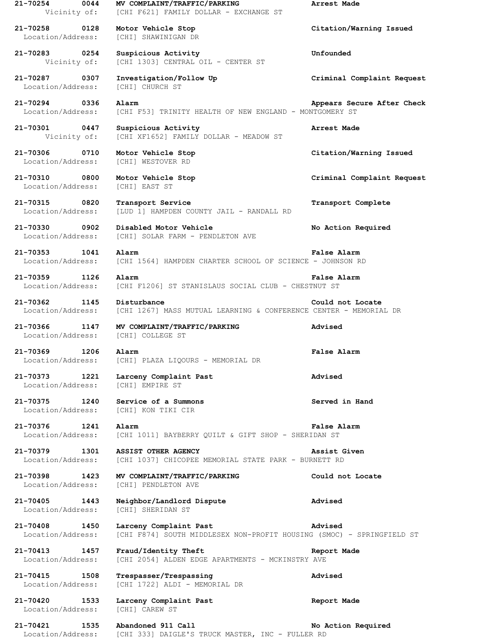**21-70254 0044 MV COMPLAINT/TRAFFIC/PARKING Arrest Made** Vicinity of: [CHI F621] FAMILY DOLLAR - EXCHANGE ST **21-70258 0128 Motor Vehicle Stop Citation/Warning Issued** Location/Address: [CHI] SHAWINIGAN DR **21-70283 0254 Suspicious Activity Unfounded** Vicinity of: [CHI 1303] CENTRAL OIL - CENTER ST **21-70287 0307 Investigation/Follow Up Criminal Complaint Request** Location/Address: [CHI] CHURCH ST **21-70294 0336 Alarm Appears Secure After Check** Location/Address: [CHI F53] TRINITY HEALTH OF NEW ENGLAND - MONTGOMERY ST **21-70301 0447 Suspicious Activity Arrest Made** Vicinity of: [CHI XF1652] FAMILY DOLLAR - MEADOW ST **21-70306 0710 Motor Vehicle Stop Citation/Warning Issued** Location/Address: [CHI] WESTOVER RD **21-70310 0800 Motor Vehicle Stop Criminal Complaint Request** Location/Address: [CHI] EAST ST **21-70315 0820 Transport Service Transport Complete** Location/Address: [LUD 1] HAMPDEN COUNTY JAIL - RANDALL RD **21-70330 0902 Disabled Motor Vehicle No Action Required** Location/Address: [CHI] SOLAR FARM - PENDLETON AVE **21-70353 1041 Alarm False Alarm** Location/Address: [CHI 1564] HAMPDEN CHARTER SCHOOL OF SCIENCE - JOHNSON RD **21-70359 1126 Alarm False Alarm** Location/Address: [CHI F1206] ST STANISLAUS SOCIAL CLUB - CHESTNUT ST **21-70362 1145 Disturbance Could not Locate** Location/Address: [CHI 1267] MASS MUTUAL LEARNING & CONFERENCE CENTER - MEMORIAL DR **21-70366 1147 MV COMPLAINT/TRAFFIC/PARKING Advised** Location/Address: [CHI] COLLEGE ST **21-70369 1206 Alarm False Alarm** Location/Address: [CHI] PLAZA LIQOURS - MEMORIAL DR **21-70373 1221 Larceny Complaint Past Advised** Location/Address: [CHI] EMPIRE ST **21-70375 1240 Service of a Summons Served in Hand** Location/Address: [CHI] KON TIKI CIR **21-70376 1241 Alarm False Alarm** Location/Address: [CHI 1011] BAYBERRY QUILT & GIFT SHOP - SHERIDAN ST **21-70379 1301 ASSIST OTHER AGENCY Assist Given** Location/Address: [CHI 1037] CHICOPEE MEMORIAL STATE PARK - BURNETT RD **21-70398 1423 MV COMPLAINT/TRAFFIC/PARKING Could not Locate** Location/Address: [CHI] PENDLETON AVE **21-70405 1443 Neighbor/Landlord Dispute Advised** Location/Address: [CHI] SHERIDAN ST **21-70408 1450 Larceny Complaint Past Advised** Location/Address: [CHI F874] SOUTH MIDDLESEX NON-PROFIT HOUSING (SMOC) - SPRINGFIELD ST **21-70413 1457 Fraud/Identity Theft Report Made** Location/Address: [CHI 2054] ALDEN EDGE APARTMENTS - MCKINSTRY AVE **21-70415 1508 Trespasser/Trespassing Advised** Location/Address: [CHI 1722] ALDI - MEMORIAL DR **21-70420 1533 Larceny Complaint Past Report Made** Location/Address: [CHI] CAREW ST

**21-70421 1535 Abandoned 911 Call No Action Required** Location/Address: [CHI 333] DAIGLE'S TRUCK MASTER, INC - FULLER RD